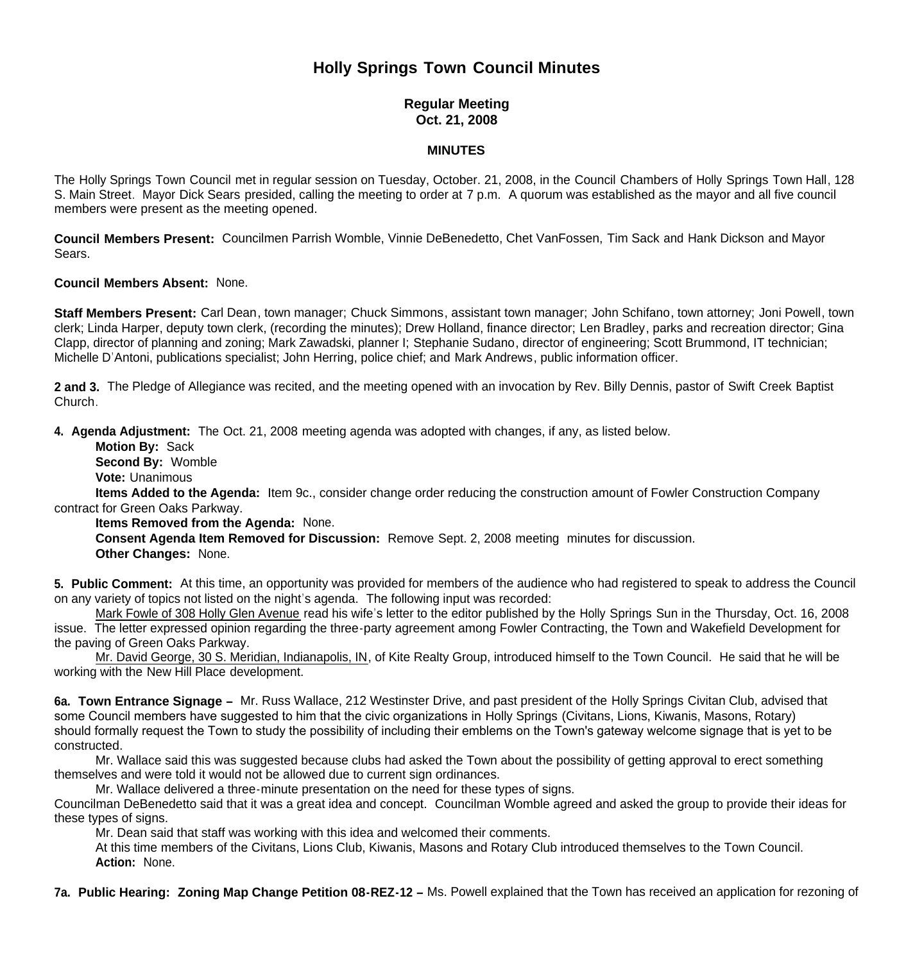# **Holly Springs Town Council Minutes**

# **Regular Meeting Oct. 21, 2008**

## **MINUTES**

The Holly Springs Town Council met in regular session on Tuesday, October. 21, 2008, in the Council Chambers of Holly Springs Town Hall, 128 S. Main Street. Mayor Dick Sears presided, calling the meeting to order at 7 p.m. A quorum was established as the mayor and all five council members were present as the meeting opened.

**Council Members Present:** Councilmen Parrish Womble, Vinnie DeBenedetto, Chet VanFossen, Tim Sack and Hank Dickson and Mayor Sears.

#### **Council Members Absent:** None.

**Staff Members Present:** Carl Dean, town manager; Chuck Simmons, assistant town manager; John Schifano, town attorney; Joni Powell, town clerk; Linda Harper, deputy town clerk, (recording the minutes); Drew Holland, finance director; Len Bradley, parks and recreation director; Gina Clapp, director of planning and zoning; Mark Zawadski, planner I; Stephanie Sudano, director of engineering; Scott Brummond, IT technician; Michelle D'Antoni, publications specialist; John Herring, police chief; and Mark Andrews, public information officer.

**2 and 3.** The Pledge of Allegiance was recited, and the meeting opened with an invocation by Rev. Billy Dennis, pastor of Swift Creek Baptist Church.

**4. Agenda Adjustment:** The Oct. 21, 2008 meeting agenda was adopted with changes, if any, as listed below.

 **Motion By:** Sack **Second By:** Womble

**Vote:** Unanimous

 **Items Added to the Agenda:** Item 9c., consider change order reducing the construction amount of Fowler Construction Company contract for Green Oaks Parkway.

#### **Items Removed from the Agenda:** None.

 **Consent Agenda Item Removed for Discussion:** Remove Sept. 2, 2008 meeting minutes for discussion. **Other Changes:** None.

**5. Public Comment:** At this time, an opportunity was provided for members of the audience who had registered to speak to address the Council on any variety of topics not listed on the night's agenda. The following input was recorded:

 Mark Fowle of 308 Holly Glen Avenue read his wife's letter to the editor published by the Holly Springs Sun in the Thursday, Oct. 16, 2008 issue. The letter expressed opinion regarding the three-party agreement among Fowler Contracting, the Town and Wakefield Development for the paving of Green Oaks Parkway.

 Mr. David George, 30 S. Meridian, Indianapolis, IN, of Kite Realty Group, introduced himself to the Town Council. He said that he will be working with the New Hill Place development.

**6a. Town Entrance Signage –** Mr. Russ Wallace, 212 Westinster Drive, and past president of the Holly Springs Civitan Club, advised that some Council members have suggested to him that the civic organizations in Holly Springs (Civitans, Lions, Kiwanis, Masons, Rotary) should formally request the Town to study the possibility of including their emblems on the Town's gateway welcome signage that is yet to be constructed.

 Mr. Wallace said this was suggested because clubs had asked the Town about the possibility of getting approval to erect something themselves and were told it would not be allowed due to current sign ordinances.

Mr. Wallace delivered a three-minute presentation on the need for these types of signs.

Councilman DeBenedetto said that it was a great idea and concept. Councilman Womble agreed and asked the group to provide their ideas for these types of signs.

Mr. Dean said that staff was working with this idea and welcomed their comments.

 At this time members of the Civitans, Lions Club, Kiwanis, Masons and Rotary Club introduced themselves to the Town Council.  **Action:** None.

**7a. Public Hearing: Zoning Map Change Petition 08-REZ-12 –** Ms. Powell explained that the Town has received an application for rezoning of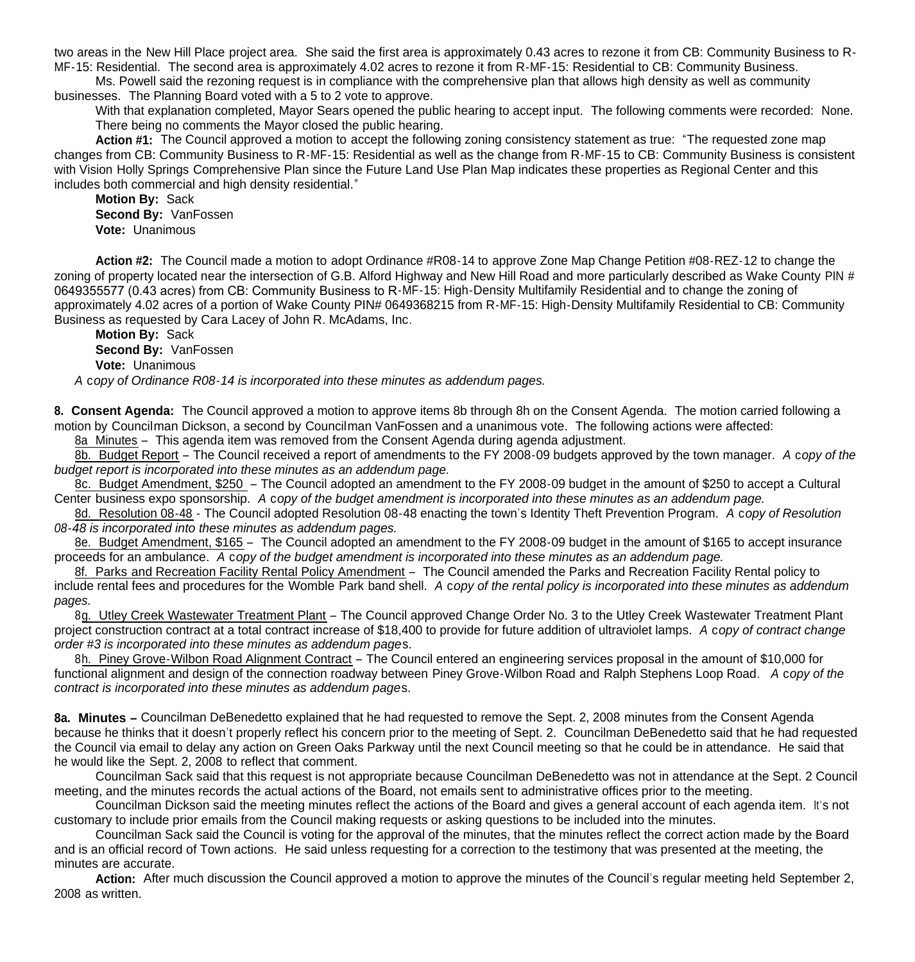two areas in the New Hill Place project area. She said the first area is approximately 0.43 acres to rezone it from CB: Community Business to R-MF-15: Residential. The second area is approximately 4.02 acres to rezone it from R-MF-15: Residential to CB: Community Business.

Ms. Powell said the rezoning request is in compliance with the comprehensive plan that allows high density as well as community businesses. The Planning Board voted with a 5 to 2 vote to approve.

With that explanation completed, Mayor Sears opened the public hearing to accept input. The following comments were recorded: None. There being no comments the Mayor closed the public hearing.

Action #1: The Council approved a motion to accept the following zoning consistency statement as true: "The requested zone map changes from CB: Community Business to R-MF-15: Residential as well as the change from R-MF-15 to CB: Community Business is consistent with Vision Holly Springs Comprehensive Plan since the Future Land Use Plan Map indicates these properties as Regional Center and this includes both commercial and high density residential."

**Motion By:** Sack **Second By:** VanFossen  **Vote:** Unanimous

**Action #2:** The Council made a motion to adopt Ordinance #R08-14 to approve Zone Map Change Petition #08-REZ-12 to change the zoning of property located near the intersection of G.B. Alford Highway and New Hill Road and more particularly described as Wake County PIN # 0649355577 (0.43 acres) from CB: Community Business to R-MF-15: High-Density Multifamily Residential and to change the zoning of approximately 4.02 acres of a portion of Wake County PIN# 0649368215 from R-MF-15: High-Density Multifamily Residential to CB: Community Business as requested by Cara Lacey of John R. McAdams, Inc.

**Motion By:** Sack **Second By:** VanFossen  **Vote:** Unanimous

*A* c*opy of Ordinance R08-14 is incorporated into these minutes as addendum pages.*

**8. Consent Agenda:** The Council approved a motion to approve items 8b through 8h on the Consent Agenda. The motion carried following a motion by Councilman Dickson, a second by Councilman VanFossen and a unanimous vote. The following actions were affected:

8a Minutes – This agenda item was removed from the Consent Agenda during agenda adjustment.

8b. Budget Report – The Council received a report of amendments to the FY 2008-09 budgets approved by the town manager. *A* c*opy of the budget report is incorporated into these minutes as an addendum page.*

8c. Budget Amendment, \$250 – The Council adopted an amendment to the FY 2008-09 budget in the amount of \$250 to accept a Cultural Center business expo sponsorship. *A* c*opy of the budget amendment is incorporated into these minutes as an addendum page.*

8d. Resolution 08-48 - The Council adopted Resolution 08-48 enacting the town's Identity Theft Prevention Program. *A* c*opy of Resolution 08-48 is incorporated into these minutes as addendum pages.*

8e. Budget Amendment, \$165 – The Council adopted an amendment to the FY 2008-09 budget in the amount of \$165 to accept insurance proceeds for an ambulance. *A* c*opy of the budget amendment is incorporated into these minutes as an addendum page.*

8f. Parks and Recreation Facility Rental Policy Amendment – The Council amended the Parks and Recreation Facility Rental policy to include rental fees and procedures for the Womble Park band shell. *A* c*opy of the rental policy is incorporated into these minutes as addendum pages.*

 8g. Utley Creek Wastewater Treatment Plant – The Council approved Change Order No. 3 to the Utley Creek Wastewater Treatment Plant project construction contract at a total contract increase of \$18,400 to provide for future addition of ultraviolet lamps. *A* c*opy of contract change order #3 is incorporated into these minutes as addendum page*s.

 8h. Piney Grove-Wilbon Road Alignment Contract – The Council entered an engineering services proposal in the amount of \$10,000 for functional alignment and design of the connection roadway between Piney Grove-Wilbon Road and Ralph Stephens Loop Road. *A* c*opy of the contract is incorporated into these minutes as addendum page*s.

**8a. Minutes –** Councilman DeBenedetto explained that he had requested to remove the Sept. 2, 2008 minutes from the Consent Agenda because he thinks that it doesn't properly reflect his concern prior to the meeting of Sept. 2. Councilman DeBenedetto said that he had requested the Council via email to delay any action on Green Oaks Parkway until the next Council meeting so that he could be in attendance. He said that he would like the Sept. 2, 2008 to reflect that comment.

Councilman Sack said that this request is not appropriate because Councilman DeBenedetto was not in attendance at the Sept. 2 Council meeting, and the minutes records the actual actions of the Board, not emails sent to administrative offices prior to the meeting.

Councilman Dickson said the meeting minutes reflect the actions of the Board and gives a general account of each agenda item. It's not customary to include prior emails from the Council making requests or asking questions to be included into the minutes.

 Councilman Sack said the Council is voting for the approval of the minutes, that the minutes reflect the correct action made by the Board and is an official record of Town actions. He said unless requesting for a correction to the testimony that was presented at the meeting, the minutes are accurate.

**Action:** After much discussion the Council approved a motion to approve the minutes of the Council's regular meeting held September 2, 2008 as written.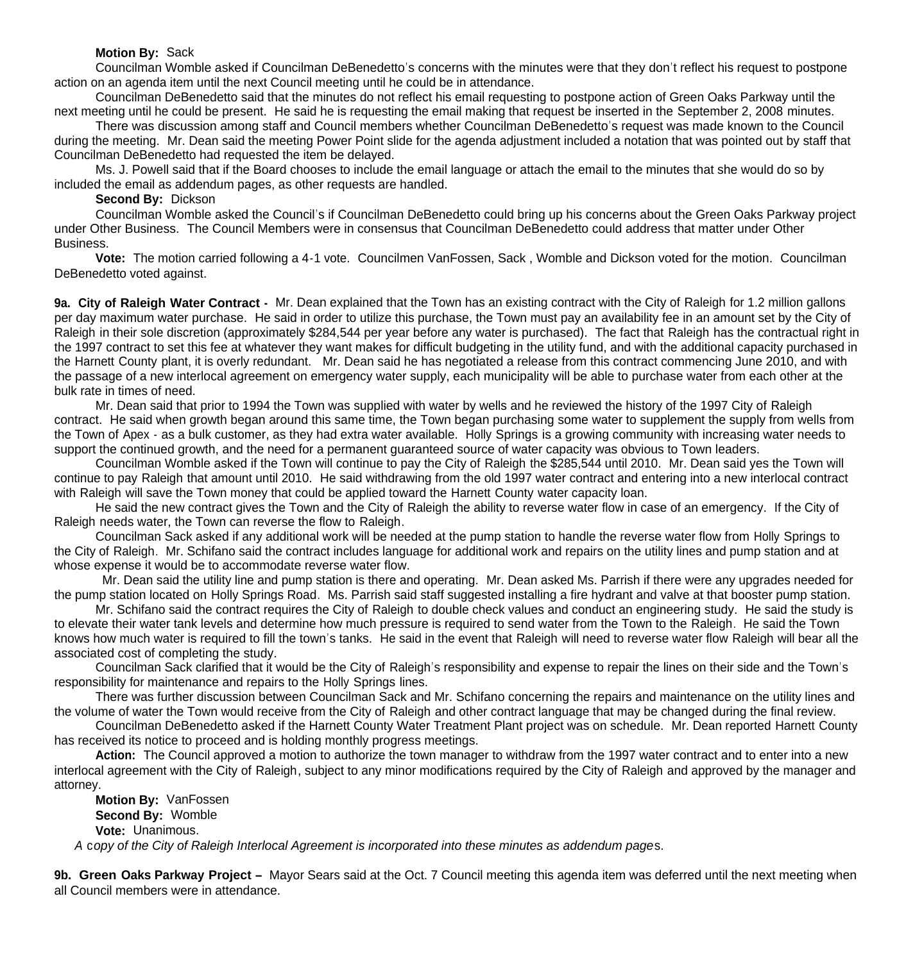## **Motion By:** Sack

Councilman Womble asked if Councilman DeBenedetto's concerns with the minutes were that they don't reflect his request to postpone action on an agenda item until the next Council meeting until he could be in attendance.

Councilman DeBenedetto said that the minutes do not reflect his email requesting to postpone action of Green Oaks Parkway until the next meeting until he could be present. He said he is requesting the email making that request be inserted in the September 2, 2008 minutes.

There was discussion among staff and Council members whether Councilman DeBenedetto's request was made known to the Council during the meeting. Mr. Dean said the meeting Power Point slide for the agenda adjustment included a notation that was pointed out by staff that Councilman DeBenedetto had requested the item be delayed.

Ms. J. Powell said that if the Board chooses to include the email language or attach the email to the minutes that she would do so by included the email as addendum pages, as other requests are handled.

## **Second By:** Dickson

Councilman Womble asked the Council's if Councilman DeBenedetto could bring up his concerns about the Green Oaks Parkway project under Other Business. The Council Members were in consensus that Councilman DeBenedetto could address that matter under Other Business.

**Vote:** The motion carried following a 4-1 vote. Councilmen VanFossen, Sack , Womble and Dickson voted for the motion. Councilman DeBenedetto voted against.

**9a. City of Raleigh Water Contract -** Mr. Dean explained that the Town has an existing contract with the City of Raleigh for 1.2 million gallons per day maximum water purchase. He said in order to utilize this purchase, the Town must pay an availability fee in an amount set by the City of Raleigh in their sole discretion (approximately \$284,544 per year before any water is purchased). The fact that Raleigh has the contractual right in the 1997 contract to set this fee at whatever they want makes for difficult budgeting in the utility fund, and with the additional capacity purchased in the Harnett County plant, it is overly redundant. Mr. Dean said he has negotiated a release from this contract commencing June 2010, and with the passage of a new interlocal agreement on emergency water supply, each municipality will be able to purchase water from each other at the bulk rate in times of need.

Mr. Dean said that prior to 1994 the Town was supplied with water by wells and he reviewed the history of the 1997 City of Raleigh contract. He said when growth began around this same time, the Town began purchasing some water to supplement the supply from wells from the Town of Apex - as a bulk customer, as they had extra water available. Holly Springs is a growing community with increasing water needs to support the continued growth, and the need for a permanent guaranteed source of water capacity was obvious to Town leaders.

 Councilman Womble asked if the Town will continue to pay the City of Raleigh the \$285,544 until 2010. Mr. Dean said yes the Town will continue to pay Raleigh that amount until 2010. He said withdrawing from the old 1997 water contract and entering into a new interlocal contract with Raleigh will save the Town money that could be applied toward the Harnett County water capacity loan.

He said the new contract gives the Town and the City of Raleigh the ability to reverse water flow in case of an emergency. If the City of Raleigh needs water, the Town can reverse the flow to Raleigh.

Councilman Sack asked if any additional work will be needed at the pump station to handle the reverse water flow from Holly Springs to the City of Raleigh. Mr. Schifano said the contract includes language for additional work and repairs on the utility lines and pump station and at whose expense it would be to accommodate reverse water flow.

 Mr. Dean said the utility line and pump station is there and operating. Mr. Dean asked Ms. Parrish if there were any upgrades needed for the pump station located on Holly Springs Road. Ms. Parrish said staff suggested installing a fire hydrant and valve at that booster pump station.

 Mr. Schifano said the contract requires the City of Raleigh to double check values and conduct an engineering study. He said the study is to elevate their water tank levels and determine how much pressure is required to send water from the Town to the Raleigh. He said the Town knows how much water is required to fill the town's tanks. He said in the event that Raleigh will need to reverse water flow Raleigh will bear all the associated cost of completing the study.

 Councilman Sack clarified that it would be the City of Raleigh's responsibility and expense to repair the lines on their side and the Town's responsibility for maintenance and repairs to the Holly Springs lines.

 There was further discussion between Councilman Sack and Mr. Schifano concerning the repairs and maintenance on the utility lines and the volume of water the Town would receive from the City of Raleigh and other contract language that may be changed during the final review.

Councilman DeBenedetto asked if the Harnett County Water Treatment Plant project was on schedule. Mr. Dean reported Harnett County has received its notice to proceed and is holding monthly progress meetings.

**Action:** The Council approved a motion to authorize the town manager to withdraw from the 1997 water contract and to enter into a new interlocal agreement with the City of Raleigh, subject to any minor modifications required by the City of Raleigh and approved by the manager and attorney.

**Motion By:** VanFossen **Second By:** Womble **Vote:** Unanimous.  *A* c*opy of the City of Raleigh Interlocal Agreement is incorporated into these minutes as addendum page*s.

**9b. Green Oaks Parkway Project –** Mayor Sears said at the Oct. 7 Council meeting this agenda item was deferred until the next meeting when all Council members were in attendance.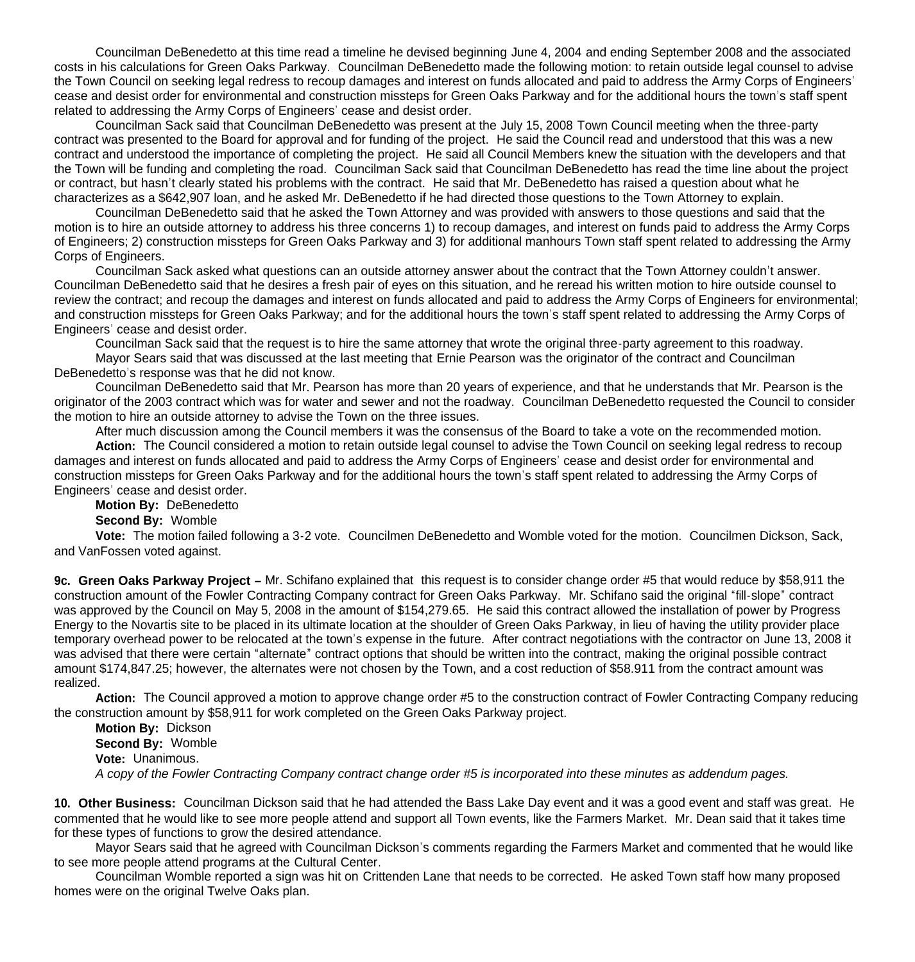Councilman DeBenedetto at this time read a timeline he devised beginning June 4, 2004 and ending September 2008 and the associated costs in his calculations for Green Oaks Parkway. Councilman DeBenedetto made the following motion: to retain outside legal counsel to advise the Town Council on seeking legal redress to recoup damages and interest on funds allocated and paid to address the Army Corps of Engineers' cease and desist order for environmental and construction missteps for Green Oaks Parkway and for the additional hours the town's staff spent related to addressing the Army Corps of Engineers' cease and desist order.

 Councilman Sack said that Councilman DeBenedetto was present at the July 15, 2008 Town Council meeting when the three-party contract was presented to the Board for approval and for funding of the project. He said the Council read and understood that this was a new contract and understood the importance of completing the project. He said all Council Members knew the situation with the developers and that the Town will be funding and completing the road. Councilman Sack said that Councilman DeBenedetto has read the time line about the project or contract, but hasn't clearly stated his problems with the contract. He said that Mr. DeBenedetto has raised a question about what he characterizes as a \$642,907 loan, and he asked Mr. DeBenedetto if he had directed those questions to the Town Attorney to explain.

 Councilman DeBenedetto said that he asked the Town Attorney and was provided with answers to those questions and said that the motion is to hire an outside attorney to address his three concerns 1) to recoup damages, and interest on funds paid to address the Army Corps of Engineers; 2) construction missteps for Green Oaks Parkway and 3) for additional manhours Town staff spent related to addressing the Army Corps of Engineers.

Councilman Sack asked what questions can an outside attorney answer about the contract that the Town Attorney couldn't answer. Councilman DeBenedetto said that he desires a fresh pair of eyes on this situation, and he reread his written motion to hire outside counsel to review the contract; and recoup the damages and interest on funds allocated and paid to address the Army Corps of Engineers for environmental; and construction missteps for Green Oaks Parkway; and for the additional hours the town's staff spent related to addressing the Army Corps of Engineers' cease and desist order.

Councilman Sack said that the request is to hire the same attorney that wrote the original three-party agreement to this roadway. Mayor Sears said that was discussed at the last meeting that Ernie Pearson was the originator of the contract and Councilman

DeBenedetto's response was that he did not know.

Councilman DeBenedetto said that Mr. Pearson has more than 20 years of experience, and that he understands that Mr. Pearson is the originator of the 2003 contract which was for water and sewer and not the roadway. Councilman DeBenedetto requested the Council to consider the motion to hire an outside attorney to advise the Town on the three issues.

After much discussion among the Council members it was the consensus of the Board to take a vote on the recommended motion.

**Action:** The Council considered a motion to retain outside legal counsel to advise the Town Council on seeking legal redress to recoup damages and interest on funds allocated and paid to address the Army Corps of Engineers' cease and desist order for environmental and construction missteps for Green Oaks Parkway and for the additional hours the town's staff spent related to addressing the Army Corps of Engineers' cease and desist order.

**Motion By:** DeBenedetto

#### **Second By:** Womble

 **Vote:** The motion failed following a 3-2 vote. Councilmen DeBenedetto and Womble voted for the motion. Councilmen Dickson, Sack, and VanFossen voted against.

**9c. Green Oaks Parkway Project –** Mr. Schifano explained that this request is to consider change order #5 that would reduce by \$58,911 the construction amount of the Fowler Contracting Company contract for Green Oaks Parkway. Mr. Schifano said the original "fill-slope" contract was approved by the Council on May 5, 2008 in the amount of \$154,279.65. He said this contract allowed the installation of power by Progress Energy to the Novartis site to be placed in its ultimate location at the shoulder of Green Oaks Parkway, in lieu of having the utility provider place temporary overhead power to be relocated at the town's expense in the future. After contract negotiations with the contractor on June 13, 2008 it was advised that there were certain "alternate" contract options that should be written into the contract, making the original possible contract amount \$174,847.25; however, the alternates were not chosen by the Town, and a cost reduction of \$58.911 from the contract amount was realized.

**Action:** The Council approved a motion to approve change order #5 to the construction contract of Fowler Contracting Company reducing the construction amount by \$58,911 for work completed on the Green Oaks Parkway project.

**Motion By:** Dickson **Second By:** Womble **Vote:** Unanimous. *A copy of the Fowler Contracting Company contract change order #5 is incorporated into these minutes as addendum pages.* 

**10. Other Business:** Councilman Dickson said that he had attended the Bass Lake Day event and it was a good event and staff was great. He commented that he would like to see more people attend and support all Town events, like the Farmers Market. Mr. Dean said that it takes time for these types of functions to grow the desired attendance.

Mayor Sears said that he agreed with Councilman Dickson's comments regarding the Farmers Market and commented that he would like to see more people attend programs at the Cultural Center.

Councilman Womble reported a sign was hit on Crittenden Lane that needs to be corrected. He asked Town staff how many proposed homes were on the original Twelve Oaks plan.